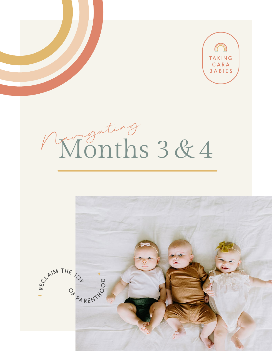

# <span id="page-0-0"></span>Wonths 3&4

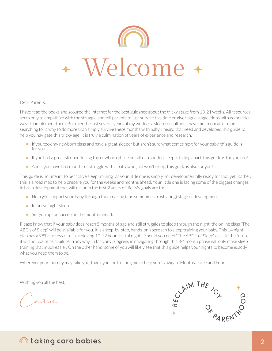

#### Dear Parents,

I have read the books and scoured the internet for the best guidance about the tricky stage from 13-21 weeks. All resources seem only to empathize with the struggle and tell parents to just survive this time or give vague suggestions with no practical ways to implement them. But over the last several years of my work as a sleep consultant, I have met mom after mom searching for a way to do more than simply survive these months with baby. I heard that need and developed this guide to help you navigate this tricky age. It is truly a culmination of years of experience and research.

- If you took my newborn class and have a great sleeper but aren't sure what comes next for your baby, this guide is for you!
- If you had a great sleeper during the newborn phase but all of a sudden sleep is falling apart, this guide is for you too!
- And if you have had months of struggle with a baby who just won't sleep, this guide is also for you!

This guide is not meant to be "active sleep training" as your little one is simply not developmentally ready for that yet. Rather, this is a road map to help prepare you for the weeks and months ahead. Your little one is facing some of the biggest changes in brain development that will occur in the first 2 years of life. My goals are to:

- Help you support your baby through this amazing (and sometimes frustrating) stage of development.
- Improve night sleep.
- Set you up for success in the months ahead.

Please know that if your baby does reach 5 months of age and still struggles to sleep through the night, the online class "The ABC's of Sleep" will be available for you. It is a step-by-step, hands-on approach to sleep training your baby. This 14 night plan has a 98% success rate in achieving 10-12 hour restful nights. Should you need "The ABC's of Sleep" class in the future, it will not count as a failure in any way. In fact, any progress in navigating through this 3-4 month phase will only make sleep training that much easier. On the other hand, some of you will likely see that this guide helps your nights to become exactly what you need them to be.

Wherever your journey may take you, thank you for trusting me to help you "Navigate Months Three and Four."

Wishing you all the best,

Cara

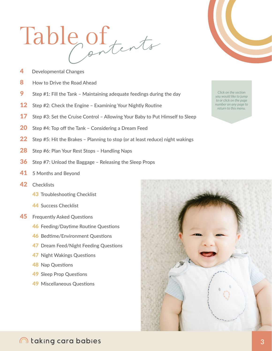# <span id="page-2-0"></span>Table of tents

- 4 **Developmental Changes**
- 8 How to Drive the Road Ahead
- 9 Step #1: Fill the Tank - Maintaining adequate feedings during the day
- $12$ Step #2: Check the Engine - Examining Your Nightly Routine
- 17 Step #3: Set the Cruise Control - Allowing Your Baby to Put Himself to Sleep
- 20 Step #4: Top off the Tank - Considering a Dream Feed
- $22<sub>2</sub>$ Step #5: Hit the Brakes - Planning to stop (or at least reduce) night wakings
- 28 Step #6: Plan Your Rest Stops - Handling Naps
- 36 Step #7: Unload the Baggage - Releasing the Sleep Props
- 41 5 Months and Beyond
- 42 Checklists
	- 43 Troubleshooting Checklist
	- 44 Success Checklist
- 45 Frequently Asked Questions
	- 46 Feeding/Daytime Routine Questions
	- 46 Bedtime/Environment Questions
	- 47 Dream Feed/Night Feeding Questions
	- 47 Night Wakings Questions
	- **48 Nap Questions**
	- **49 Sleep Prop Questions**
	- 49 Miscellaneous Questions





Click on the section you would like to jump to or click on the page number on any page to return to this menu.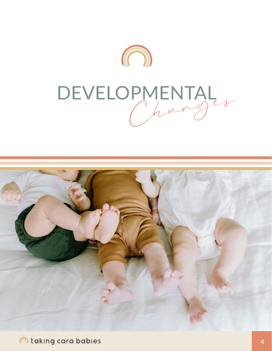

# <span id="page-3-0"></span>Changes DEVELOPMENTAL



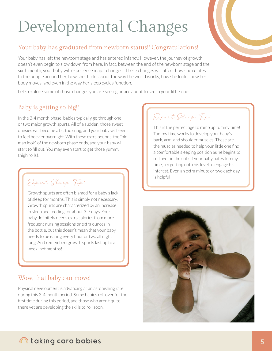# Developmental Changes

## Your baby has graduated from newborn status!! Congratulations!

Your baby has left the newborn stage and has entered infancy. However, the journey of growth doesn't even begin to slow down from here. In fact, between the end of the newborn stage and the sixth month, your baby will experience major changes. These changes will affect how she relates to the people around her, how she thinks about the way the world works, how she looks, how her body moves, and even in the way her sleep cycles function.

Let's explore some of those changes you are seeing or are about to see in your little one:

# Baby is getting so big!!

In the 3-4 month phase, babies typically go through one or two major growth spurts. All of a sudden, those sweet onesies will become a bit too snug, and your baby will seem to feel heavier overnight. With these extra pounds, the "old man look" of the newborn phase ends, and your baby will start to fill out. You may even start to get those yummy thigh rolls!!

Expert Sleep Tip:

Growth spurts are often blamed for a baby's lack of sleep for months. This is simply not necessary. Growth spurts are characterized by an increase in sleep and feeding for about 3-7 days. Your baby definitely needs extra calories from more frequent nursing sessions or extra ounces in the bottle, but this doesn't mean that your baby needs to be eating every hour or two all night long. And remember: growth spurts last up to a week, not months!

# Wow, that baby can move!

Physical development is advancing at an astonishing rate during this 3-4 month period. Some babies roll over for the first time during this period, and those who aren't quite there yet are developing the skills to roll soon.

# Expert Sleep Tip:

This is the perfect age to ramp up tummy time! Tummy time works to develop your baby's back, arm, and shoulder muscles. These are the muscles needed to help your little one find a comfortable sleeping position as he begins to roll over in the crib. If your baby hates tummy time, try getting onto his level to engage his interest. Even an extra minute or two each day is helpful!

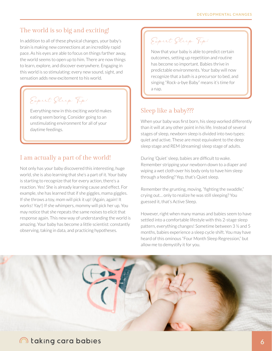## The world is so big and exciting!

In addition to all of these physical changes, your baby's brain is making new connections at an incredibly rapid pace. As his eyes are able to focus on things farther away, the world seems to open up to him. There are now things to learn, explore, and discover everywhere. Engaging in this world is so stimulating: every new sound, sight, and sensation adds new excitement to his world.

Expert Sleep Tip:

Everything new in this exciting world makes eating seem boring. Consider going to an unstimulating environment for all of your daytime feedings.

### I am actually a part of the world!

Not only has your baby discovered this interesting, huge world, she is also learning that she's a part of it. Your baby is starting to recognize that for every action, there's a reaction. Yes! She is already learning cause and effect. For example, she has learned that if she giggles, mama giggles. If she throws a toy, mom will pick it up! (Again, again! It works! Yay!) If she whimpers, mommy will pick her up. You may notice that she repeats the same noises to elicit that response again. This new way of understanding the world is amazing. Your baby has become a little scientist: constantly observing, taking in data, and practicing hypotheses.

Expert Sleep Tip:

Now that your baby is able to predict certain outcomes, setting up repetition and routine has become so important. Babies thrive in predictable environments. Your baby will now recognize that a bath is a precursor to bed, and singing "Rock-a-bye Baby" means it's time for a nap.

### Sleep like a baby???

When your baby was first born, his sleep worked differently than it will at any other point in his life. Instead of several stages of sleep, newborn sleep is divided into two types: quiet and active. These are most equivalent to the deep sleep stage and REM (dreaming) sleep stage of adults.

During 'Quiet' sleep, babies are difficult to wake. Remember stripping your newborn down to a diaper and wiping a wet cloth over his body only to have him sleep through a feeding? Yep, that's Quiet sleep.

Remember the grunting, moving, "fighting the swaddle," crying out… only to realize he was still sleeping? You guessed it, that's Active Sleep.

However, right when many mamas and babies seem to have settled into a comfortable lifestyle with this 2-stage sleep pattern, everything changes! Sometime between 3 ½ and 5 months, babies experience a sleep cycle shift. You may have heard of this ominous "Four Month Sleep Regression," but allow me to demystify it for you.

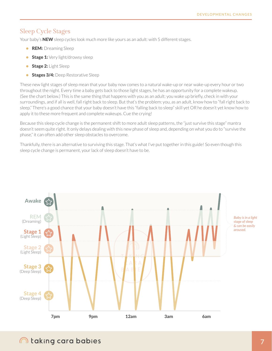## Sleep Cycle Stages

Your baby's **NEW** sleep cycles look much more like yours as an adult: with 5 different stages.

- **REM:** Dreaming Sleep
- **Stage 1:** Very light/drowsy sleep
- **Stage 2: Light Sleep**
- **Stages 3/4:** Deep Restorative Sleep

These new light stages of sleep mean that your baby now comes to a natural wake-up or near wake-up every hour or two throughout the night. Every time a baby gets back to those light stages, he has an opportunity for a complete wakeup. (See the chart below.) This is the same thing that happens with you as an adult: you wake up briefly, check in with your surroundings, and if all is well, fall right back to sleep. But that's the problem: you, as an adult, know how to "fall right back to sleep." There's a good chance that your baby doesn't have this "falling back to sleep" skill yet OR he doesn't yet know how to apply it to these more frequent and complete wakeups. Cue the crying!

Because this sleep cycle change is the permanent shift to more adult sleep patterns, the "just survive this stage" mantra doesn't seem quite right. It only delays dealing with this new phase of sleep and, depending on what you do to "survive the phase," it can often add other sleep obstacles to overcome.

Thankfully, there is an alternative to surviving this stage. That's what I've put together in this guide! So even though this sleep cycle change is permanent, your lack of sleep doesn't have to be.



# taking cara babies